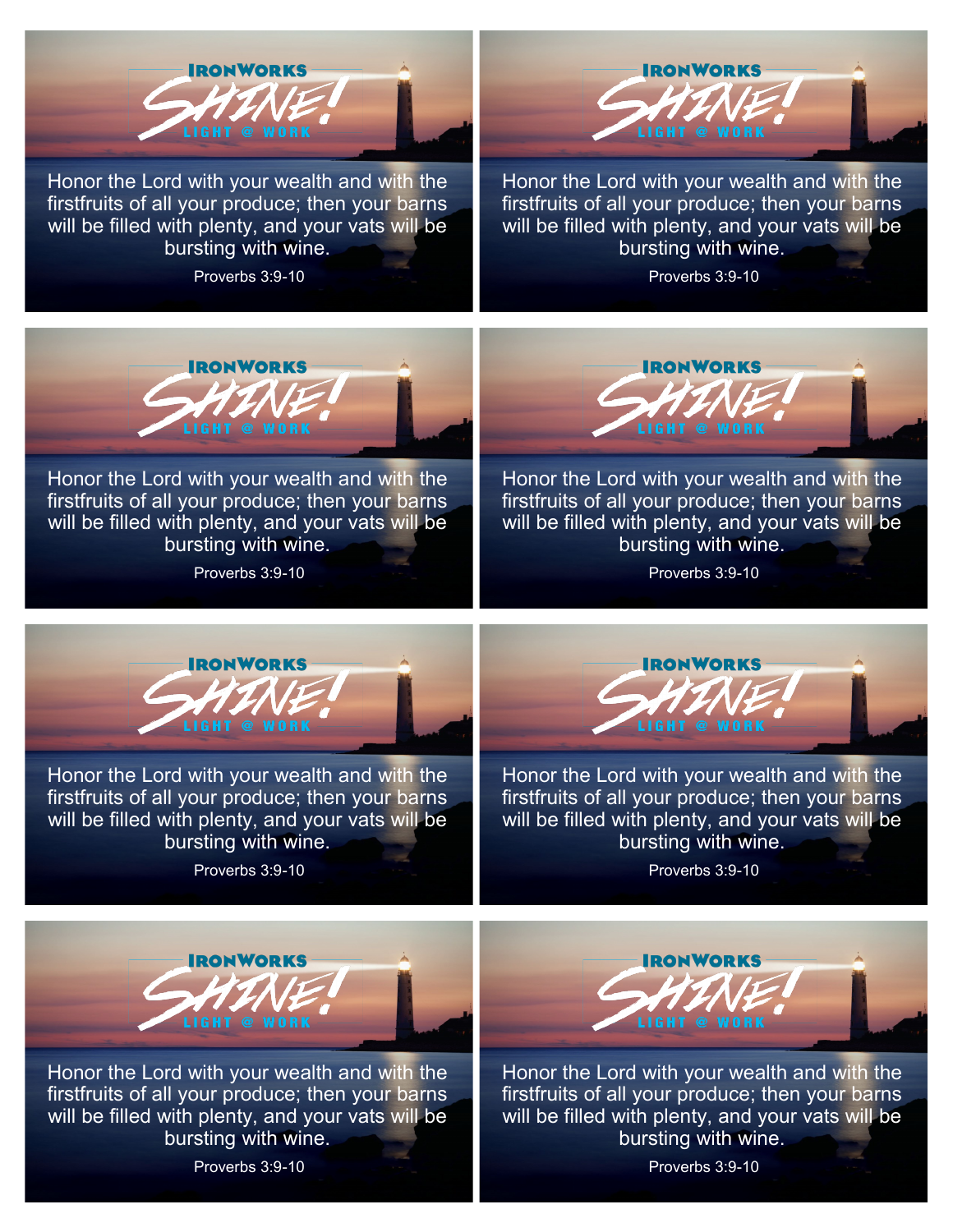

Honor the Lord with your wealth and with the firstfruits of all your produce; then your barns will be filled with plenty, and your vats will be bursting with wine.

Proverbs 3:9-10



Honor the Lord with your wealth and with the firstfruits of all your produce; then your barns will be filled with plenty, and your vats will be bursting with wine.

Proverbs 3:9-10



Honor the Lord with your wealth and with the firstfruits of all your produce; then your barns will be filled with plenty, and your vats will be bursting with wine.

Proverbs 3:9-10



Honor the Lord with your wealth and with the firstfruits of all your produce; then your barns will be filled with plenty, and your vats will be bursting with wine.

Proverbs 3:9-10



Honor the Lord with your wealth and with the firstfruits of all your produce; then your barns will be filled with plenty, and your vats will be bursting with wine.

Proverbs 3:9-10



Honor the Lord with your wealth and with the firstfruits of all your produce; then your barns will be filled with plenty, and your vats will be bursting with wine.

Proverbs 3:9-10



Honor the Lord with your wealth and with the firstfruits of all your produce; then your barns will be filled with plenty, and your vats will be bursting with wine.

**RONWORKS** 

Honor the Lord with your wealth and with the firstfruits of all your produce; then your barns will be filled with plenty, and your vats will be bursting with wine.

Proverbs 3:9-10

Proverbs 3:9-10